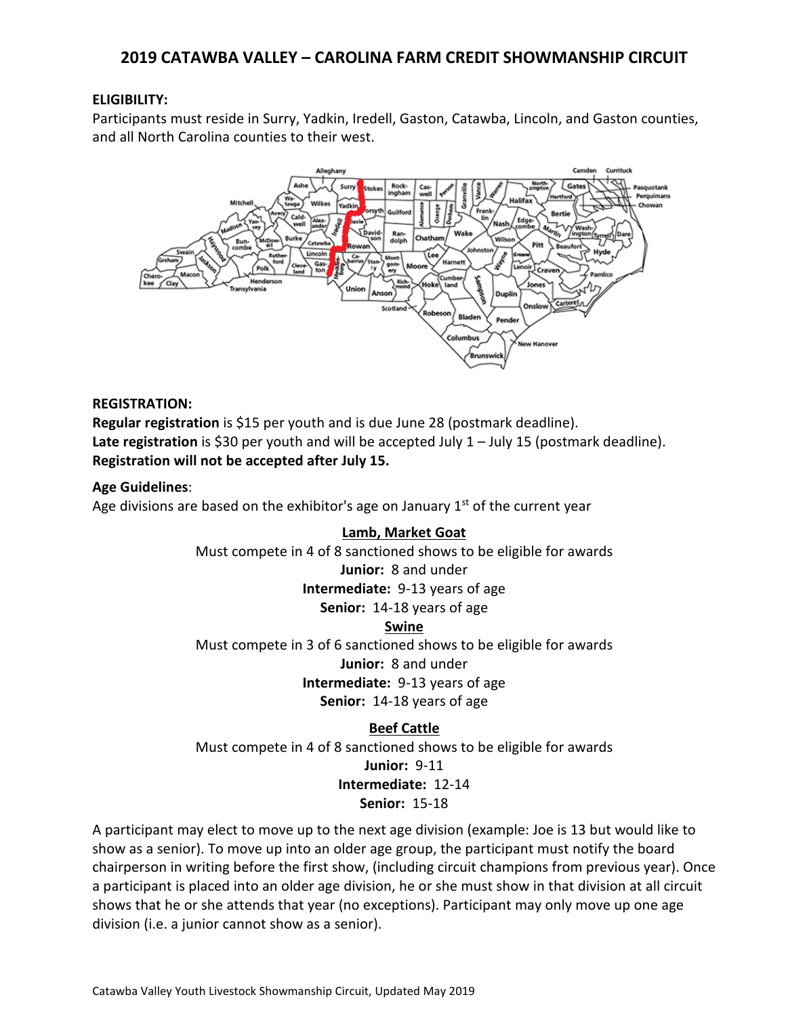# **2019 CATAWBA VALLEY – CAROLINA FARM CREDIT SHOWMANSHIP CIRCUIT**

# **ELIGIBILITY:**

Participants must reside in Surry, Yadkin, Iredell, Gaston, Catawba, Lincoln, and Gaston counties, and all North Carolina counties to their west.



### **REGISTRATION:**

**Regular registration** is \$15 per youth and is due June 28 (postmark deadline). Late registration is \$30 per youth and will be accepted July 1 – July 15 (postmark deadline). **Registration will not be accepted after July 15.** 

# **Age Guidelines**:

Age divisions are based on the exhibitor's age on January  $1<sup>st</sup>$  of the current year

# **Lamb, Market Goat**

Must compete in 4 of 8 sanctioned shows to be eligible for awards

### **Junior:** 8 and under

**Intermediate:** 9-13 years of age

**Senior:** 14-18 years of age

### **Swine**

Must compete in 3 of 6 sanctioned shows to be eligible for awards **Junior:** 8 and under

**Intermediate:** 9-13 years of age

**Senior:** 14-18 years of age

# **Beef Cattle**

Must compete in 4 of 8 sanctioned shows to be eligible for awards **Junior:** 9-11 **Intermediate:** 12-14 **Senior:** 15-18

A participant may elect to move up to the next age division (example: Joe is 13 but would like to show as a senior). To move up into an older age group, the participant must notify the board chairperson in writing before the first show, (including circuit champions from previous year). Once a participant is placed into an older age division, he or she must show in that division at all circuit shows that he or she attends that year (no exceptions). Participant may only move up one age division (i.e. a junior cannot show as a senior).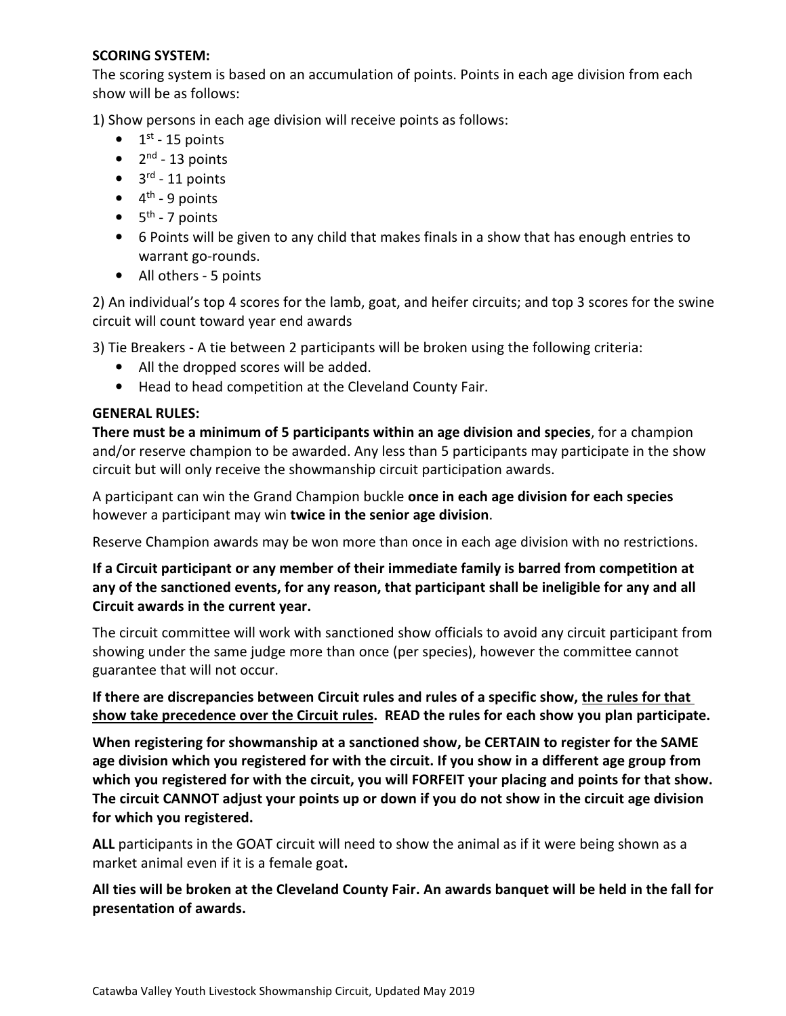# **SCORING SYSTEM:**

The scoring system is based on an accumulation of points. Points in each age division from each show will be as follows:

1) Show persons in each age division will receive points as follows:

- $\bullet$  1<sup>st</sup> 15 points
- $\bullet$  2<sup>nd</sup> 13 points
- $\bullet$  3<sup>rd</sup> 11 points
- $\bullet$  4<sup>th</sup> 9 points
- $\bullet$  5<sup>th</sup> 7 points
- 6 Points will be given to any child that makes finals in a show that has enough entries to warrant go-rounds.
- All others 5 points

2) An individual's top 4 scores for the lamb, goat, and heifer circuits; and top 3 scores for the swine circuit will count toward year end awards

3) Tie Breakers - A tie between 2 participants will be broken using the following criteria:

- All the dropped scores will be added.
- Head to head competition at the Cleveland County Fair.

# **GENERAL RULES:**

**There must be a minimum of 5 participants within an age division and species**, for a champion and/or reserve champion to be awarded. Any less than 5 participants may participate in the show circuit but will only receive the showmanship circuit participation awards.

A participant can win the Grand Champion buckle **once in each age division for each species** however a participant may win **twice in the senior age division**.

Reserve Champion awards may be won more than once in each age division with no restrictions.

**If a Circuit participant or any member of their immediate family is barred from competition at any of the sanctioned events, for any reason, that participant shall be ineligible for any and all Circuit awards in the current year.** 

The circuit committee will work with sanctioned show officials to avoid any circuit participant from showing under the same judge more than once (per species), however the committee cannot guarantee that will not occur.

**If there are discrepancies between Circuit rules and rules of a specific show, the rules for that show take precedence over the Circuit rules. READ the rules for each show you plan participate.** 

**When registering for showmanship at a sanctioned show, be CERTAIN to register for the SAME age division which you registered for with the circuit. If you show in a different age group from which you registered for with the circuit, you will FORFEIT your placing and points for that show. The circuit CANNOT adjust your points up or down if you do not show in the circuit age division for which you registered.** 

**ALL** participants in the GOAT circuit will need to show the animal as if it were being shown as a market animal even if it is a female goat**.** 

**All ties will be broken at the Cleveland County Fair. An awards banquet will be held in the fall for presentation of awards.**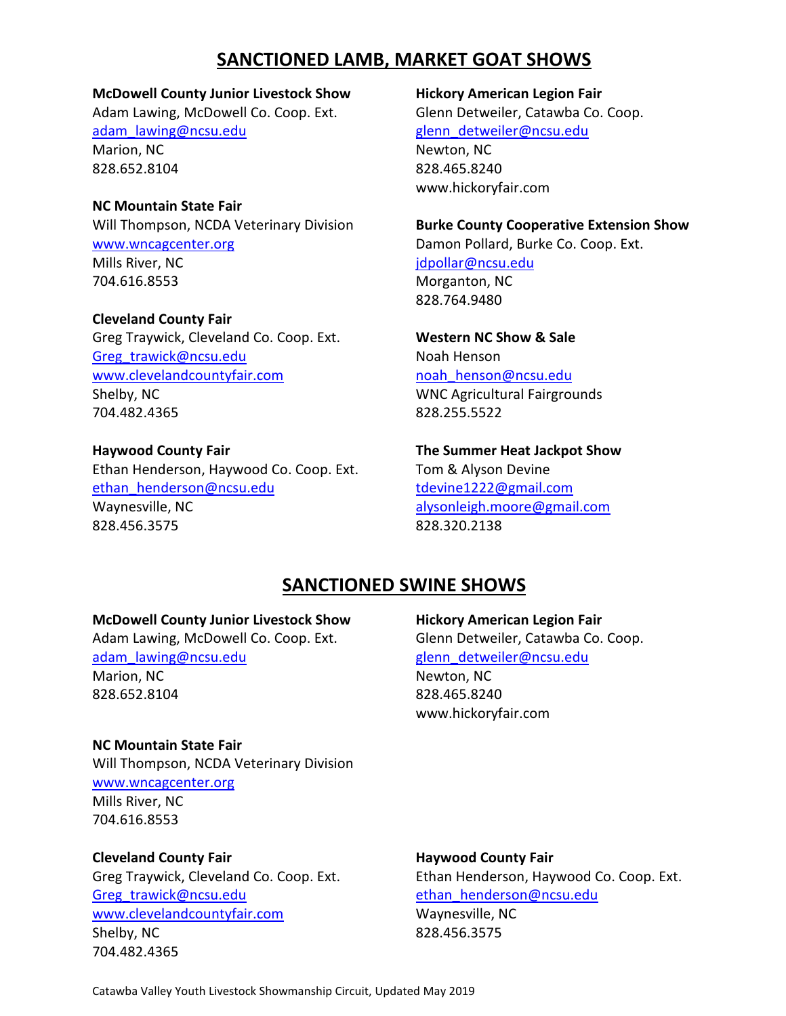# **SANCTIONED LAMB, MARKET GOAT SHOWS**

**McDowell County Junior Livestock Show Hickory American Legion Fair**  Adam Lawing, McDowell Co. Coop. Ext. Glenn Detweiler, Catawba Co. Coop. adam**\_**lawing@ncsu.edu glenn**\_**detweiler@ncsu.edu Marion, NC Newton, NC 828.652.8104 828.465.8240

**NC Mountain State Fair** www.wncagcenter.org **Damon Pollard, Burke Co. Coop. Ext.** Mills River, NC in the state of the state of the idpollar@ncsu.edu 704.616.8553 Morganton, NC

**Cleveland County Fair** Greg Traywick, Cleveland Co. Coop. Ext. **Western NC Show & Sale**  Greg trawick@ncsu.edu Noah Henson www.clevelandcountyfair.com noah henson@ncsu.edu Shelby, NC Shelby, NC Shelby, NC Shelby, NC Shelby, NC Shelby, NC Shelby, NC Shelby, NC Shelby, NC Shelby, NC Shelby, NC Shelby, NC Shelby, NC Shelby, NC Shelby, NC Shelby, NC Shelby, NC Shelby, NC Shelby, NC Shelby, NC Sh 704.482.4365 828.255.5522

# Ethan Henderson, Haywood Co. Coop. Ext. Tom & Alyson Devine

ethan**\_**henderson@ncsu.edu tdevine1222@gmail.com Waynesville, NC alysonleigh.moore@gmail.com 828.456.3575 828.320.2138

www.hickoryfair.com

### Will Thompson, NCDA Veterinary Division **Burke County Cooperative Extension Show**

828.764.9480

**Haywood County Fair The Summer Heat Jackpot Show**

# **SANCTIONED SWINE SHOWS**

### **McDowell County Junior Livestock Show Hickory American Legion Fair**

Adam Lawing, McDowell Co. Coop. Ext. Glenn Detweiler, Catawba Co. Coop. adam**\_**lawing@ncsu.edu glenn**\_**detweiler@ncsu.edu Marion, NC Newton, NC 828.652.8104 828.465.8240

www.hickoryfair.com

**NC Mountain State Fair**  Will Thompson, NCDA Veterinary Division www.wncagcenter.org Mills River, NC 704.616.8553

**Cleveland County Fair Haywood County Fair**  Greg**\_**trawick@ncsu.edu ethan**\_**henderson@ncsu.edu www.clevelandcountyfair.com Waynesville, NC Shelby, NC 828.456.3575 704.482.4365

Greg Traywick, Cleveland Co. Coop. Ext. Ethan Henderson, Haywood Co. Coop. Ext.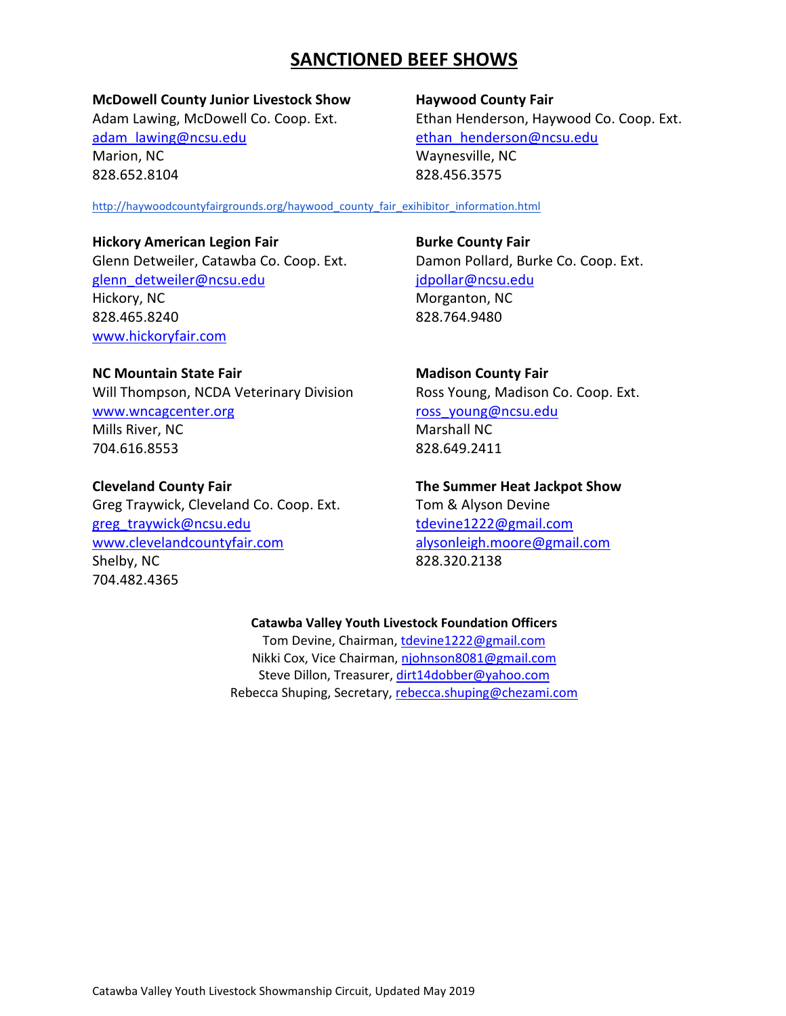# **SANCTIONED BEEF SHOWS**

# **McDowell County Junior Livestock Show Haywood County Fair**

adam**\_**lawing@ncsu.edu ethan**\_**henderson@ncsu.edu Marion, NC Waynesville, NC 828.652.8104 828.456.3575

Adam Lawing, McDowell Co. Coop. Ext. Ethan Henderson, Haywood Co. Coop. Ext.

http://haywoodcountyfairgrounds.org/haywood\_county\_fair\_exihibitor\_information.html

# **Hickory American Legion Fair <b>Burke County Fair Burke County Fair**

Glenn Detweiler, Catawba Co. Coop. Ext. Damon Pollard, Burke Co. Coop. Ext. glenn**\_**detweiler@ncsu.edu jdpollar@ncsu.edu Hickory, NC Morganton, NC 828.465.8240 828.764.9480 www.hickoryfair.com

# **NC Mountain State Fair Madison County Fair Accounty Fair**

Will Thompson, NCDA Veterinary Division Ross Young, Madison Co. Coop. Ext. www.wncagcenter.org ross young@ncsu.edu Mills River, NC Marshall NC 704.616.8553 828.649.2411

Greg Traywick, Cleveland Co. Coop. Ext. Tom & Alyson Devine greg**\_**traywick@ncsu.edu tdevine1222@gmail.com www.clevelandcountyfair.com alysonleigh.moore@gmail.com Shelby, NC 828.320.2138 704.482.4365

**Cleveland County Fair The Summer Heat Jackpot Show** 

# **Catawba Valley Youth Livestock Foundation Officers**

Tom Devine, Chairman, tdevine1222@gmail.com Nikki Cox, Vice Chairman, njohnson8081@gmail.com Steve Dillon, Treasurer, dirt14dobber@yahoo.com Rebecca Shuping, Secretary, rebecca.shuping@chezami.com